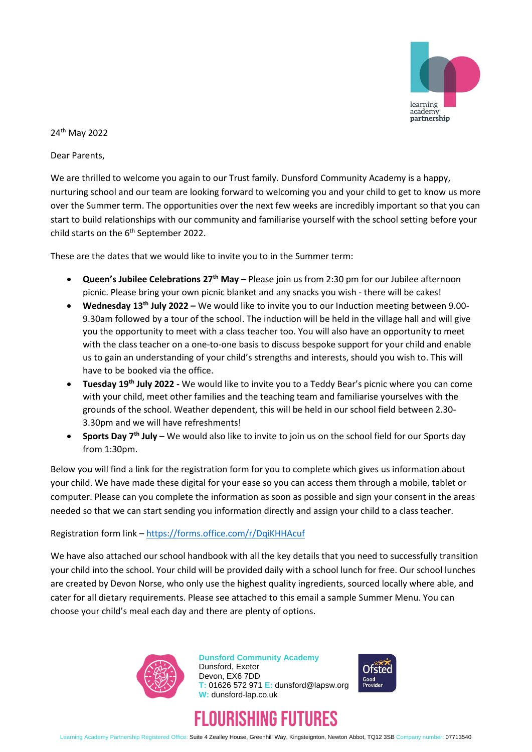

## 24th May 2022

Dear Parents,

We are thrilled to welcome you again to our Trust family. Dunsford Community Academy is a happy, nurturing school and our team are looking forward to welcoming you and your child to get to know us more over the Summer term. The opportunities over the next few weeks are incredibly important so that you can start to build relationships with our community and familiarise yourself with the school setting before your child starts on the  $6<sup>th</sup>$  September 2022.

These are the dates that we would like to invite you to in the Summer term:

- **Queen's Jubilee Celebrations 27th May** Please join us from 2:30 pm for our Jubilee afternoon picnic. Please bring your own picnic blanket and any snacks you wish - there will be cakes!
- **Wednesday 13th July 2022 –** We would like to invite you to our Induction meeting between 9.00- 9.30am followed by a tour of the school. The induction will be held in the village hall and will give you the opportunity to meet with a class teacher too. You will also have an opportunity to meet with the class teacher on a one-to-one basis to discuss bespoke support for your child and enable us to gain an understanding of your child's strengths and interests, should you wish to. This will have to be booked via the office.
- **Tuesday 19th July 2022 -** We would like to invite you to a Teddy Bear's picnic where you can come with your child, meet other families and the teaching team and familiarise yourselves with the grounds of the school. Weather dependent, this will be held in our school field between 2.30- 3.30pm and we will have refreshments!
- **Sports Day 7th July** We would also like to invite to join us on the school field for our Sports day from 1:30pm.

Below you will find a link for the registration form for you to complete which gives us information about your child. We have made these digital for your ease so you can access them through a mobile, tablet or computer. Please can you complete the information as soon as possible and sign your consent in the areas needed so that we can start sending you information directly and assign your child to a class teacher.

## Registration form link – <https://forms.office.com/r/DqiKHHAcuf>

We have also attached our school handbook with all the key details that you need to successfully transition your child into the school. Your child will be provided daily with a school lunch for free. Our school lunches are created by Devon Norse, who only use the highest quality ingredients, sourced locally where able, and cater for all dietary requirements. Please see attached to this email a sample Summer Menu. You can choose your child's meal each day and there are plenty of options.



**Dunsford Community Academy** Dunsford, Exeter Devon, EX6 7DD **T:** 01626 572 971 **E:** dunsford@lapsw.org **W:** dunsford-lap.co.uk



## FLOURISHING FUTURES

Learning Academy Partnership Registered Office: Suite 4 Zealley House, Greenhill Way, Kingsteignton, Newton Abbot, TQ12 3SB Company number: 07713540